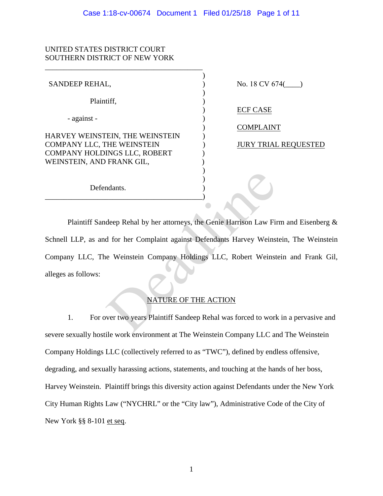## UNITED STATES DISTRICT COURT SOUTHERN DISTRICT OF NEW YORK

| SANDEEP REHAL,                                            | No. 18 CV 674(              |
|-----------------------------------------------------------|-----------------------------|
| Plaintiff,                                                |                             |
|                                                           | <b>ECF CASE</b>             |
| - against -                                               | <b>COMPLAINT</b>            |
| HARVEY WEINSTEIN, THE WEINSTEIN                           |                             |
| COMPANY LLC, THE WEINSTEIN                                | <b>JURY TRIAL REQUESTED</b> |
| COMPANY HOLDINGS LLC, ROBERT<br>WEINSTEIN, AND FRANK GIL, |                             |
|                                                           |                             |
|                                                           |                             |
| Defendants.                                               |                             |
|                                                           |                             |

Plaintiff Sandeep Rehal by her attorneys, the Genie Harrison Law Firm and Eisenberg & Schnell LLP, as and for her Complaint against Defendants Harvey Weinstein, The Weinstein Company LLC, The Weinstein Company Holdings LLC, Robert Weinstein and Frank Gil, alleges as follows: Matter Complaint against Defendants Harvey Weinst<br>
d for her Complaint against Defendants Harvey Weinst<br>
e Weinstein Company Holdings LLC, Robert Weinst<br>
MATURE OF THE ACTION<br>
Wer two years Plaintiff Sandeep Rehal was forc

# NATURE OF THE ACTION

1. For over two years Plaintiff Sandeep Rehal was forced to work in a pervasive and severe sexually hostile work environment at The Weinstein Company LLC and The Weinstein Company Holdings LLC (collectively referred to as "TWC"), defined by endless offensive, degrading, and sexually harassing actions, statements, and touching at the hands of her boss, Harvey Weinstein. Plaintiff brings this diversity action against Defendants under the New York City Human Rights Law ("NYCHRL" or the "City law"), Administrative Code of the City of New York §§ 8-101 et seq.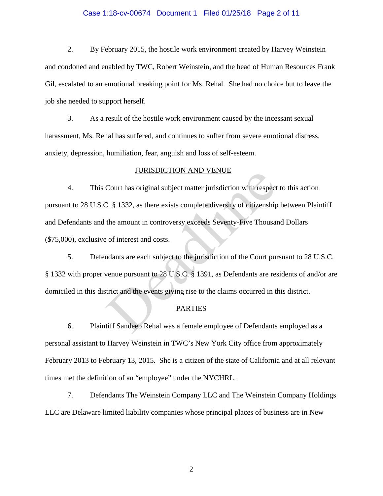## Case 1:18-cv-00674 Document 1 Filed 01/25/18 Page 2 of 11

2. By February 2015, the hostile work environment created by Harvey Weinstein and condoned and enabled by TWC, Robert Weinstein, and the head of Human Resources Frank Gil, escalated to an emotional breaking point for Ms. Rehal. She had no choice but to leave the job she needed to support herself.

3. As a result of the hostile work environment caused by the incessant sexual harassment, Ms. Rehal has suffered, and continues to suffer from severe emotional distress, anxiety, depression, humiliation, fear, anguish and loss of self-esteem.

#### JURISDICTION AND VENUE

4. This Court has original subject matter jurisdiction with respect to this action pursuant to 28 U.S.C. § 1332, as there exists complete diversity of citizenship between Plaintiff and Defendants and the amount in controversy exceeds Seventy-Five Thousand Dollars (\$75,000), exclusive of interest and costs. **SORISDE TRON AND VENCE**<br>Court has original subject matter jurisdiction with respect<br>2. § 1332, as there exists complete diversity of citizenship<br>the amount in controversy exceeds Seventy-Five Thousar<br>of interest and cost

5. Defendants are each subject to the jurisdiction of the Court pursuant to 28 U.S.C. § 1332 with proper venue pursuant to 28 U.S.C. § 1391, as Defendants are residents of and/or are domiciled in this district and the events giving rise to the claims occurred in this district.

### PARTIES

6. Plaintiff Sandeep Rehal was a female employee of Defendants employed as a personal assistant to Harvey Weinstein in TWC's New York City office from approximately February 2013 to February 13, 2015. She is a citizen of the state of California and at all relevant times met the definition of an "employee" under the NYCHRL.

7. Defendants The Weinstein Company LLC and The Weinstein Company Holdings LLC are Delaware limited liability companies whose principal places of business are in New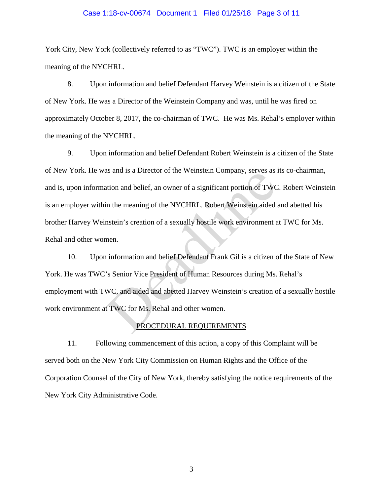### Case 1:18-cv-00674 Document 1 Filed 01/25/18 Page 3 of 11

York City, New York (collectively referred to as "TWC"). TWC is an employer within the meaning of the NYCHRL.

8. Upon information and belief Defendant Harvey Weinstein is a citizen of the State of New York. He was a Director of the Weinstein Company and was, until he was fired on approximately October 8, 2017, the co-chairman of TWC. He was Ms. Rehal's employer within the meaning of the NYCHRL.

9. Upon information and belief Defendant Robert Weinstein is a citizen of the State of New York. He was and is a Director of the Weinstein Company, serves as its co-chairman, and is, upon information and belief, an owner of a significant portion of TWC. Robert Weinstein is an employer within the meaning of the NYCHRL. Robert Weinstein aided and abetted his brother Harvey Weinstein's creation of a sexually hostile work environment at TWC for Ms. Rehal and other women. as and is a Director of the Weinstein Company, serves as<br>tition and belief, an owner of a significant portion of TWC<br>in the meaning of the NYCHRL. Robert Weinstein aided<br>nstein's creation of a sexually hostile work environ

10. Upon information and belief Defendant Frank Gil is a citizen of the State of New York. He was TWC's Senior Vice President of Human Resources during Ms. Rehal's employment with TWC, and aided and abetted Harvey Weinstein's creation of a sexually hostile work environment at TWC for Ms. Rehal and other women.

### PROCEDURAL REQUIREMENTS

11. Following commencement of this action, a copy of this Complaint will be served both on the New York City Commission on Human Rights and the Office of the Corporation Counsel of the City of New York, thereby satisfying the notice requirements of the New York City Administrative Code.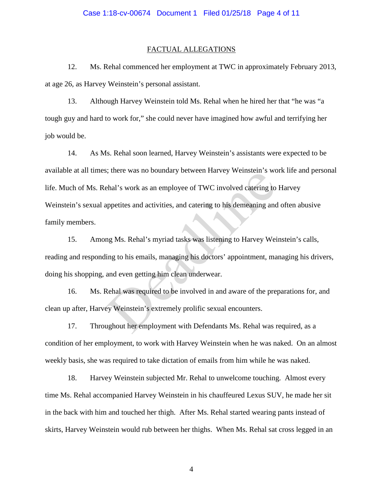#### FACTUAL ALLEGATIONS

12. Ms. Rehal commenced her employment at TWC in approximately February 2013, at age 26, as Harvey Weinstein's personal assistant.

13. Although Harvey Weinstein told Ms. Rehal when he hired her that "he was "a tough guy and hard to work for," she could never have imagined how awful and terrifying her job would be.

14. As Ms. Rehal soon learned, Harvey Weinstein's assistants were expected to be available at all times; there was no boundary between Harvey Weinstein's work life and personal life. Much of Ms. Rehal's work as an employee of TWC involved catering to Harvey Weinstein's sexual appetites and activities, and catering to his demeaning and often abusive family members. extending to the sum of the produced rate we shall's work as an employee of TWC involved catering to<br>appetites and activities, and catering to his demeaning and<br>ng Ms. Rehal's myriad tasks was listening to Harvey Wei<br>ing t

15. Among Ms. Rehal's myriad tasks was listening to Harvey Weinstein's calls, reading and responding to his emails, managing his doctors' appointment, managing his drivers, doing his shopping, and even getting him clean underwear.

16. Ms. Rehal was required to be involved in and aware of the preparations for, and clean up after, Harvey Weinstein's extremely prolific sexual encounters.

17. Throughout her employment with Defendants Ms. Rehal was required, as a condition of her employment, to work with Harvey Weinstein when he was naked. On an almost weekly basis, she was required to take dictation of emails from him while he was naked.

18. Harvey Weinstein subjected Mr. Rehal to unwelcome touching. Almost every time Ms. Rehal accompanied Harvey Weinstein in his chauffeured Lexus SUV, he made her sit in the back with him and touched her thigh. After Ms. Rehal started wearing pants instead of skirts, Harvey Weinstein would rub between her thighs. When Ms. Rehal sat cross legged in an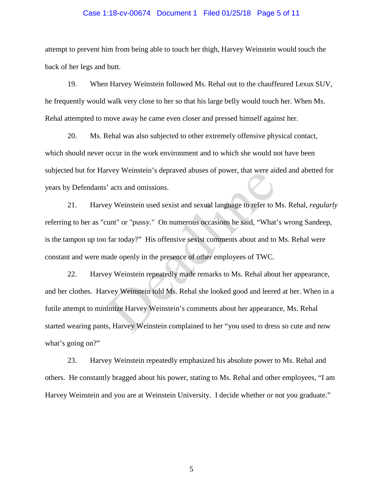## Case 1:18-cv-00674 Document 1 Filed 01/25/18 Page 5 of 11

attempt to prevent him from being able to touch her thigh, Harvey Weinstein would touch the back of her legs and butt.

19. When Harvey Weinstein followed Ms. Rehal out to the chauffeured Lexus SUV, he frequently would walk very close to her so that his large belly would touch her. When Ms. Rehal attempted to move away he came even closer and pressed himself against her.

20. Ms. Rehal was also subjected to other extremely offensive physical contact, which should never occur in the work environment and to which she would not have been subjected but for Harvey Weinstein's depraved abuses of power, that were aided and abetted for years by Defendants' acts and omissions.

21. Harvey Weinstein used sexist and sexual language to refer to Ms. Rehal, *regularly* referring to her as "cunt" or "pussy." On numerous occasions he said, "What's wrong Sandeep, is the tampon up too far today?" His offensive sexist comments about and to Ms. Rehal were constant and were made openly in the presence of other employees of TWC.

22. Harvey Weinstein repeatedly made remarks to Ms. Rehal about her appearance, and her clothes. Harvey Weinstein told Ms. Rehal she looked good and leered at her. When in a futile attempt to minimize Harvey Weinstein's comments about her appearance, Ms. Rehal started wearing pants, Harvey Weinstein complained to her "you used to dress so cute and now what's going on?" bey weinstein subprayed abuses of power, that were all<br>
in a were all any and the set of the set of the set of the set of the set of the set of the set of the set of the set of the set of the set of the set of the set of t

23. Harvey Weinstein repeatedly emphasized his absolute power to Ms. Rehal and others. He constantly bragged about his power, stating to Ms. Rehal and other employees, "I am Harvey Weinstein and you are at Weinstein University. I decide whether or not you graduate."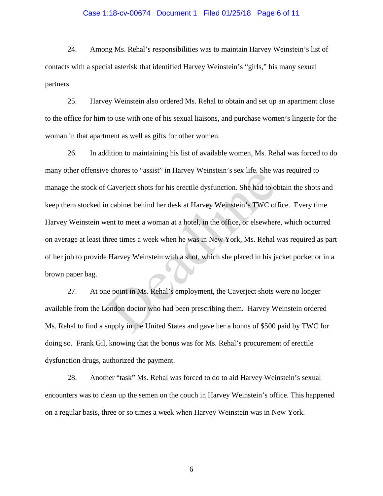# Case 1:18-cv-00674 Document 1 Filed 01/25/18 Page 6 of 11

24. Among Ms. Rehal's responsibilities was to maintain Harvey Weinstein's list of contacts with a special asterisk that identified Harvey Weinstein's "girls," his many sexual partners.

25. Harvey Weinstein also ordered Ms. Rehal to obtain and set up an apartment close to the office for him to use with one of his sexual liaisons, and purchase women's lingerie for the woman in that apartment as well as gifts for other women.

26. In addition to maintaining his list of available women, Ms. Rehal was forced to do many other offensive chores to "assist" in Harvey Weinstein's sex life. She was required to manage the stock of Caverject shots for his erectile dysfunction. She had to obtain the shots and keep them stocked in cabinet behind her desk at Harvey Weinstein's TWC office. Every time Harvey Weinstein went to meet a woman at a hotel, in the office, or elsewhere, which occurred on average at least three times a week when he was in New York, Ms. Rehal was required as part of her job to provide Harvey Weinstein with a shot, which she placed in his jacket pocket or in a brown paper bag. Caverject shots for his erectile dysfunction. She had to of<br>n cabinet behind her desk at Harvey Weinstein's TWC of<br>nent to meet a woman at a hotel, in the office, or elsewher<br>hree times a week when he was in New York, Ms.

27. At one point in Ms. Rehal's employment, the Caverject shots were no longer available from the London doctor who had been prescribing them. Harvey Weinstein ordered Ms. Rehal to find a supply in the United States and gave her a bonus of \$500 paid by TWC for doing so. Frank Gil, knowing that the bonus was for Ms. Rehal's procurement of erectile dysfunction drugs, authorized the payment.

28. Another "task" Ms. Rehal was forced to do to aid Harvey Weinstein's sexual encounters was to clean up the semen on the couch in Harvey Weinstein's office. This happened on a regular basis, three or so times a week when Harvey Weinstein was in New York.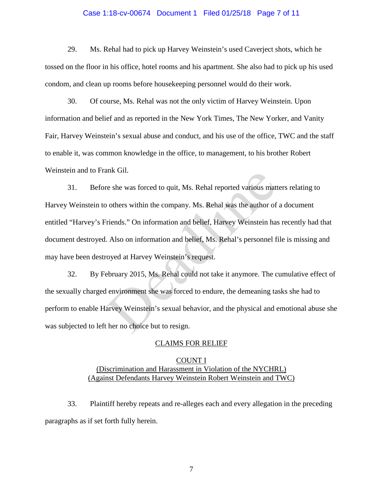### Case 1:18-cv-00674 Document 1 Filed 01/25/18 Page 7 of 11

29. Ms. Rehal had to pick up Harvey Weinstein's used Caverject shots, which he tossed on the floor in his office, hotel rooms and his apartment. She also had to pick up his used condom, and clean up rooms before housekeeping personnel would do their work.

30. Of course, Ms. Rehal was not the only victim of Harvey Weinstein. Upon information and belief and as reported in the New York Times, The New Yorker, and Vanity Fair, Harvey Weinstein's sexual abuse and conduct, and his use of the office, TWC and the staff to enable it, was common knowledge in the office, to management, to his brother Robert Weinstein and to Frank Gil.

31. Before she was forced to quit, Ms. Rehal reported various matters relating to Harvey Weinstein to others within the company. Ms. Rehal was the author of a document entitled "Harvey's Friends." On information and belief, Harvey Weinstein has recently had that document destroyed. Also on information and belief, Ms. Rehal's personnel file is missing and may have been destroyed at Harvey Weinstein's request. re she was forced to quit, Ms. Rehal reported various matt<br>to others within the company. Ms. Rehal was the author of<br>friends." On information and belief, Harvey Weinstein ha:<br>Also on information and belief, Ms. Rehal's per

32. By February 2015, Ms. Rehal could not take it anymore. The cumulative effect of the sexually charged environment she was forced to endure, the demeaning tasks she had to perform to enable Harvey Weinstein's sexual behavior, and the physical and emotional abuse she was subjected to left her no choice but to resign.

### CLAIMS FOR RELIEF

### COUNT I (Discrimination and Harassment in Violation of the NYCHRL) (Against Defendants Harvey Weinstein Robert Weinstein and TWC)

33. Plaintiff hereby repeats and re-alleges each and every allegation in the preceding paragraphs as if set forth fully herein.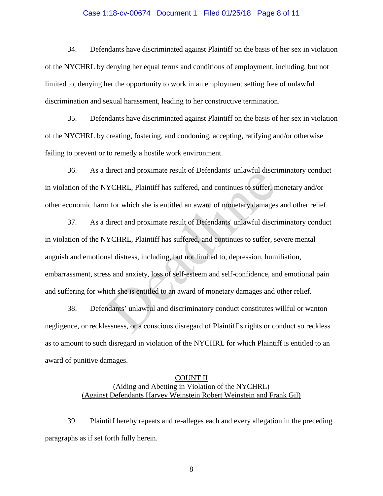### Case 1:18-cv-00674 Document 1 Filed 01/25/18 Page 8 of 11

34. Defendants have discriminated against Plaintiff on the basis of her sex in violation of the NYCHRL by denying her equal terms and conditions of employment, including, but not limited to, denying her the opportunity to work in an employment setting free of unlawful discrimination and sexual harassment, leading to her constructive termination.

35. Defendants have discriminated against Plaintiff on the basis of her sex in violation of the NYCHRL by creating, fostering, and condoning, accepting, ratifying and/or otherwise failing to prevent or to remedy a hostile work environment.

36. As a direct and proximate result of Defendants' unlawful discriminatory conduct in violation of the NYCHRL, Plaintiff has suffered, and continues to suffer, monetary and/or other economic harm for which she is entitled an award of monetary damages and other relief.

37. As a direct and proximate result of Defendants' unlawful discriminatory conduct in violation of the NYCHRL, Plaintiff has suffered, and continues to suffer, severe mental anguish and emotional distress, including, but not limited to, depression, humiliation, embarrassment, stress and anxiety, loss of self-esteem and self-confidence, and emotional pain and suffering for which she is entitled to an award of monetary damages and other relief. YCHRL, Plaintiff has suffered, and continues to suffer, n<br>
YCHRL, Plaintiff has suffered, and continues to suffer, n<br>
in for which she is entitled an award of monetary damages<br>
direct and proximate result of Defendants' un

38. Defendants' unlawful and discriminatory conduct constitutes willful or wanton negligence, or recklessness, or a conscious disregard of Plaintiff's rights or conduct so reckless as to amount to such disregard in violation of the NYCHRL for which Plaintiff is entitled to an award of punitive damages.

## COUNT II (Aiding and Abetting in Violation of the NYCHRL) (Against Defendants Harvey Weinstein Robert Weinstein and Frank Gil)

39. Plaintiff hereby repeats and re-alleges each and every allegation in the preceding paragraphs as if set forth fully herein.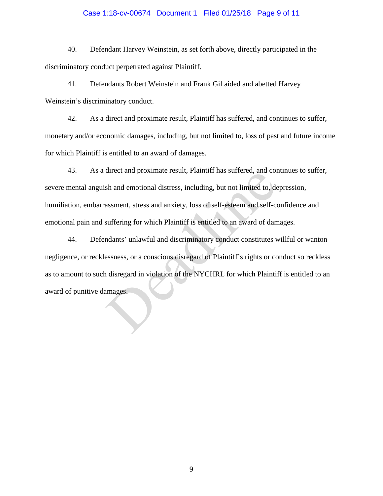### Case 1:18-cv-00674 Document 1 Filed 01/25/18 Page 9 of 11

40. Defendant Harvey Weinstein, as set forth above, directly participated in the discriminatory conduct perpetrated against Plaintiff.

41. Defendants Robert Weinstein and Frank Gil aided and abetted Harvey Weinstein's discriminatory conduct.

42. As a direct and proximate result, Plaintiff has suffered, and continues to suffer, monetary and/or economic damages, including, but not limited to, loss of past and future income for which Plaintiff is entitled to an award of damages.

43. As a direct and proximate result, Plaintiff has suffered, and continues to suffer, severe mental anguish and emotional distress, including, but not limited to, depression, humiliation, embarrassment, stress and anxiety, loss of self-esteem and self-confidence and emotional pain and suffering for which Plaintiff is entitled to an award of damages.

44. Defendants' unlawful and discriminatory conduct constitutes willful or wanton negligence, or recklessness, or a conscious disregard of Plaintiff's rights or conduct so reckless as to amount to such disregard in violation of the NYCHRL for which Plaintiff is entitled to an award of punitive damages. and emotional distress, including, but not limited to, deassment, stress and anxiety, loss of self-esteem and self-cosuffering for which Plaintiff is entitled to an award of dan mdants' unlawful and discriminatory conduct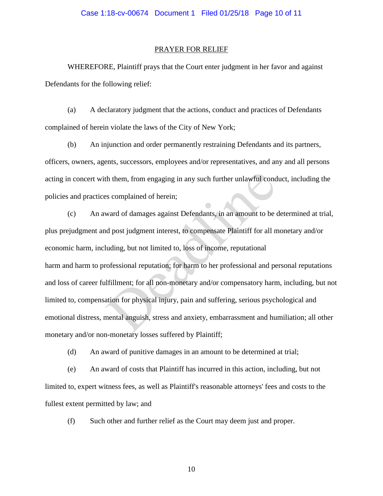#### PRAYER FOR RELIEF

 WHEREFORE, Plaintiff prays that the Court enter judgment in her favor and against Defendants for the following relief:

(a) A declaratory judgment that the actions, conduct and practices of Defendants complained of herein violate the laws of the City of New York;

(b) An injunction and order permanently restraining Defendants and its partners, officers, owners, agents, successors, employees and/or representatives, and any and all persons acting in concert with them, from engaging in any such further unlawful conduct, including the policies and practices complained of herein;

(c) An award of damages against Defendants, in an amount to be determined at trial, plus prejudgment and post judgment interest, to compensate Plaintiff for all monetary and/or economic harm, including, but not limited to, loss of income, reputational harm and harm to professional reputation; for harm to her professional and personal reputations and loss of career fulfillment; for all non-monetary and/or compensatory harm, including, but not limited to, compensation for physical injury, pain and suffering, serious psychological and emotional distress, mental anguish, stress and anxiety, embarrassment and humiliation; all other monetary and/or non-monetary losses suffered by Plaintiff; th them, from engaging in any such further unlawful cond<br>
as complained of herein;<br>
ward of damages against Defendants, in an amount to be to<br>
d post judgment interest, to compensate Plaintiff for all n<br>
luding, but not li

(d) An award of punitive damages in an amount to be determined at trial;

(e) An award of costs that Plaintiff has incurred in this action, including, but not limited to, expert witness fees, as well as Plaintiff's reasonable attorneys' fees and costs to the fullest extent permitted by law; and

(f) Such other and further relief as the Court may deem just and proper.